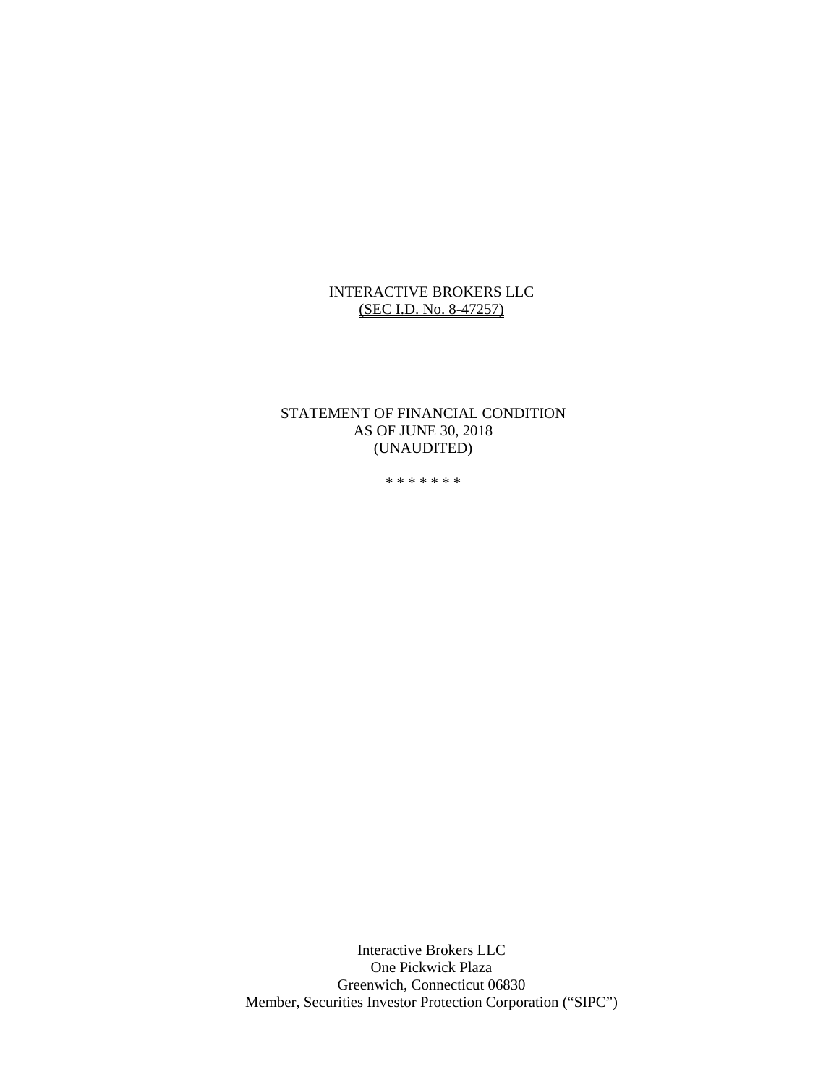# INTERACTIVE BROKERS LLC (SEC I.D. No. 8-47257)

# STATEMENT OF FINANCIAL CONDITION AS OF JUNE 30, 2018 (UNAUDITED)

\* \* \* \* \* \* \*

Interactive Brokers LLC One Pickwick Plaza Greenwich, Connecticut 06830 Member, Securities Investor Protection Corporation ("SIPC")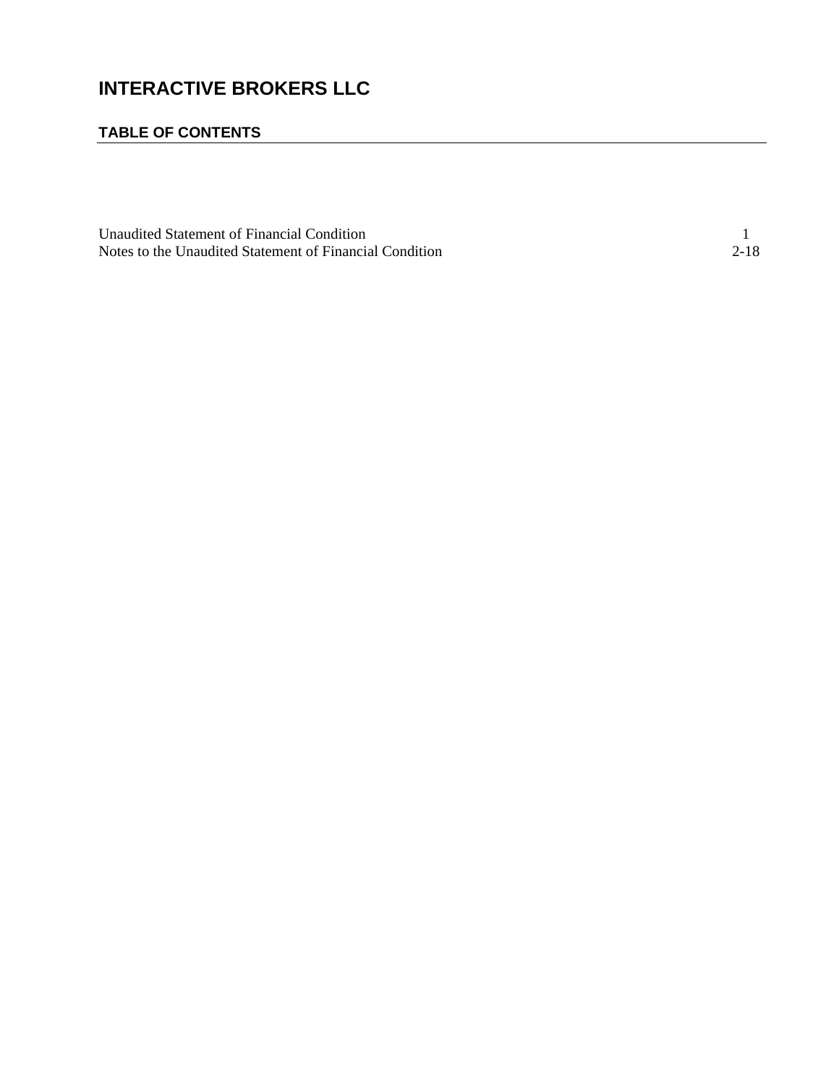# **INTERACTIVE BROKERS LLC**

# **TABLE OF CONTENTS**

| Unaudited Statement of Financial Condition              |      |
|---------------------------------------------------------|------|
| Notes to the Unaudited Statement of Financial Condition | 2-18 |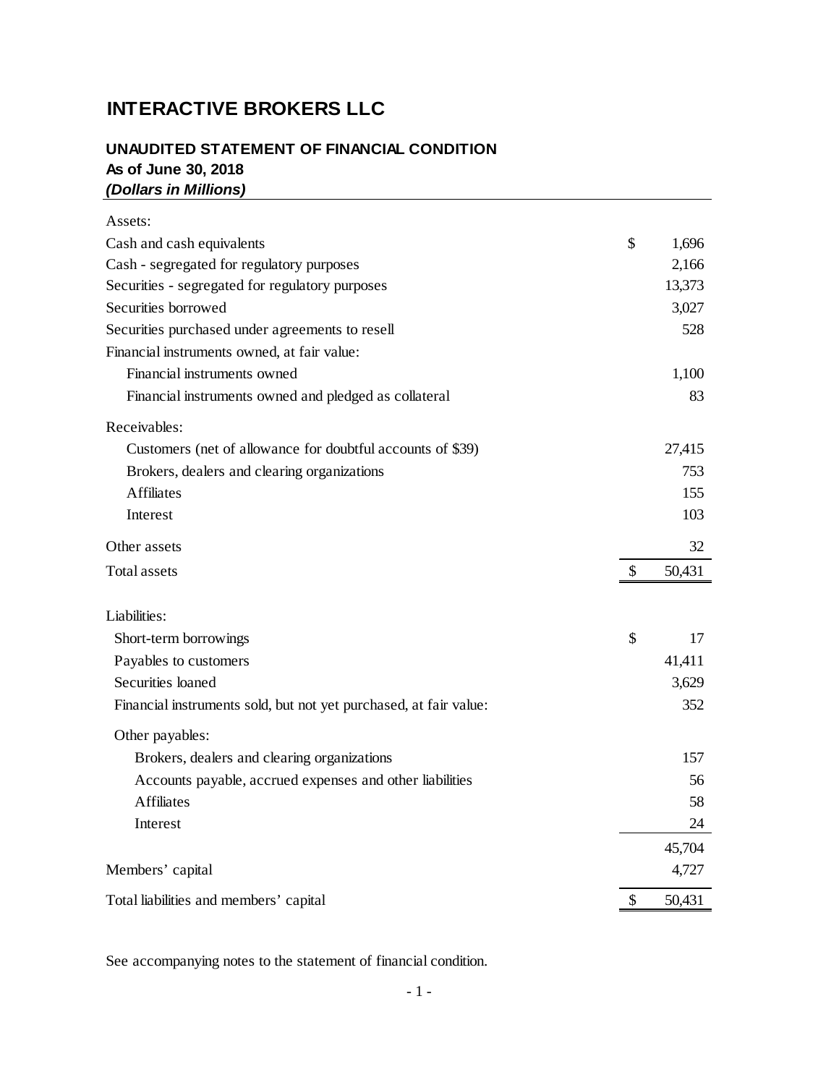# **INTERACTIVE BROKERS LLC**

# **UNAUDITED STATEMENT OF FINANCIAL CONDITION As of June 30, 2018** *(Dollars in Millions)*

| Assets:                                                           |    |        |
|-------------------------------------------------------------------|----|--------|
| Cash and cash equivalents                                         | \$ | 1,696  |
| Cash - segregated for regulatory purposes                         |    | 2,166  |
| Securities - segregated for regulatory purposes                   |    | 13,373 |
| Securities borrowed                                               |    | 3,027  |
| Securities purchased under agreements to resell                   |    | 528    |
| Financial instruments owned, at fair value:                       |    |        |
| Financial instruments owned                                       |    | 1,100  |
| Financial instruments owned and pledged as collateral             |    | 83     |
| Receivables:                                                      |    |        |
| Customers (net of allowance for doubtful accounts of \$39)        |    | 27,415 |
| Brokers, dealers and clearing organizations                       |    | 753    |
| <b>Affiliates</b>                                                 |    | 155    |
| Interest                                                          |    | 103    |
| Other assets                                                      |    | 32     |
| <b>Total assets</b>                                               | S  | 50,431 |
|                                                                   |    |        |
| Liabilities:                                                      |    |        |
| Short-term borrowings                                             | \$ | 17     |
| Payables to customers                                             |    | 41,411 |
| Securities loaned                                                 |    | 3,629  |
| Financial instruments sold, but not yet purchased, at fair value: |    | 352    |
| Other payables:                                                   |    |        |
| Brokers, dealers and clearing organizations                       |    | 157    |
| Accounts payable, accrued expenses and other liabilities          |    | 56     |
| <b>Affiliates</b>                                                 |    | 58     |
| Interest                                                          |    | 24     |
|                                                                   |    | 45,704 |
| Members' capital                                                  |    | 4,727  |

See accompanying notes to the statement of financial condition.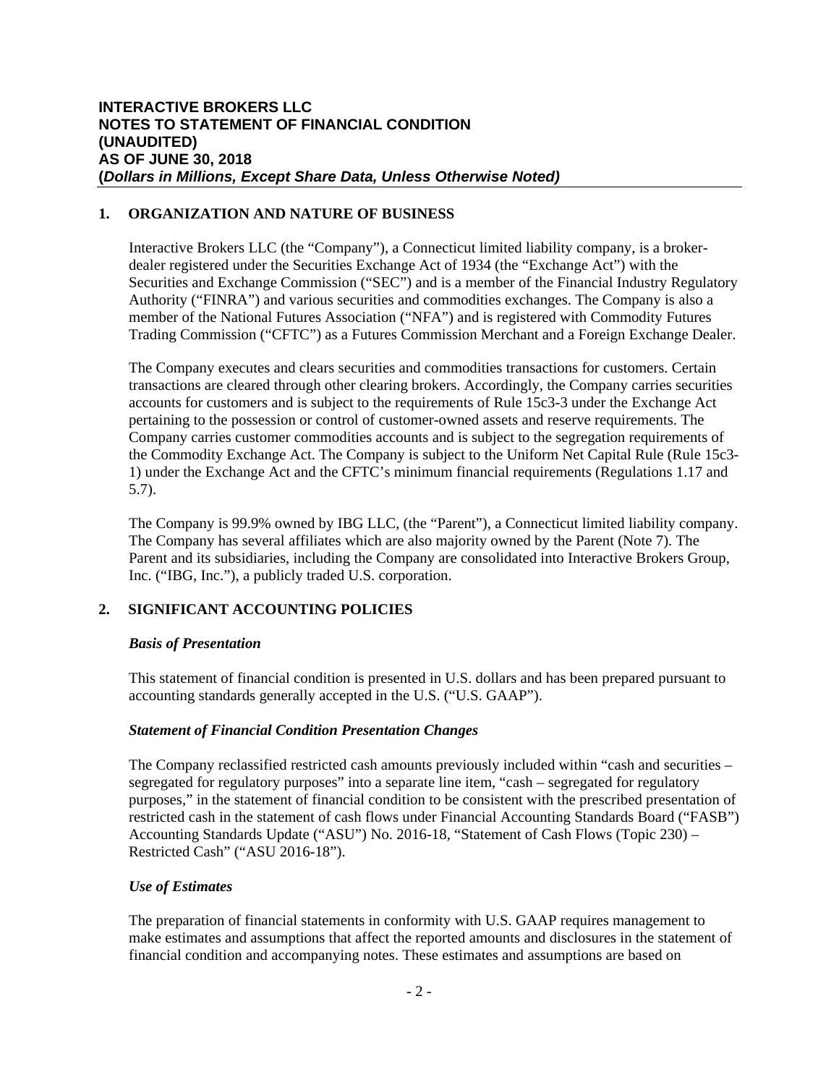# **1. ORGANIZATION AND NATURE OF BUSINESS**

Interactive Brokers LLC (the "Company"), a Connecticut limited liability company, is a brokerdealer registered under the Securities Exchange Act of 1934 (the "Exchange Act") with the Securities and Exchange Commission ("SEC") and is a member of the Financial Industry Regulatory Authority ("FINRA") and various securities and commodities exchanges. The Company is also a member of the National Futures Association ("NFA") and is registered with Commodity Futures Trading Commission ("CFTC") as a Futures Commission Merchant and a Foreign Exchange Dealer.

The Company executes and clears securities and commodities transactions for customers. Certain transactions are cleared through other clearing brokers. Accordingly, the Company carries securities accounts for customers and is subject to the requirements of Rule 15c3-3 under the Exchange Act pertaining to the possession or control of customer-owned assets and reserve requirements. The Company carries customer commodities accounts and is subject to the segregation requirements of the Commodity Exchange Act. The Company is subject to the Uniform Net Capital Rule (Rule 15c3- 1) under the Exchange Act and the CFTC's minimum financial requirements (Regulations 1.17 and 5.7).

The Company is 99.9% owned by IBG LLC, (the "Parent"), a Connecticut limited liability company. The Company has several affiliates which are also majority owned by the Parent (Note 7). The Parent and its subsidiaries, including the Company are consolidated into Interactive Brokers Group, Inc. ("IBG, Inc."), a publicly traded U.S. corporation.

# **2. SIGNIFICANT ACCOUNTING POLICIES**

# *Basis of Presentation*

This statement of financial condition is presented in U.S. dollars and has been prepared pursuant to accounting standards generally accepted in the U.S. ("U.S. GAAP").

# *Statement of Financial Condition Presentation Changes*

The Company reclassified restricted cash amounts previously included within "cash and securities – segregated for regulatory purposes" into a separate line item, "cash – segregated for regulatory purposes," in the statement of financial condition to be consistent with the prescribed presentation of restricted cash in the statement of cash flows under Financial Accounting Standards Board ("FASB") Accounting Standards Update ("ASU") No. 2016-18, "Statement of Cash Flows (Topic 230) – Restricted Cash" ("ASU 2016-18").

# *Use of Estimates*

The preparation of financial statements in conformity with U.S. GAAP requires management to make estimates and assumptions that affect the reported amounts and disclosures in the statement of financial condition and accompanying notes. These estimates and assumptions are based on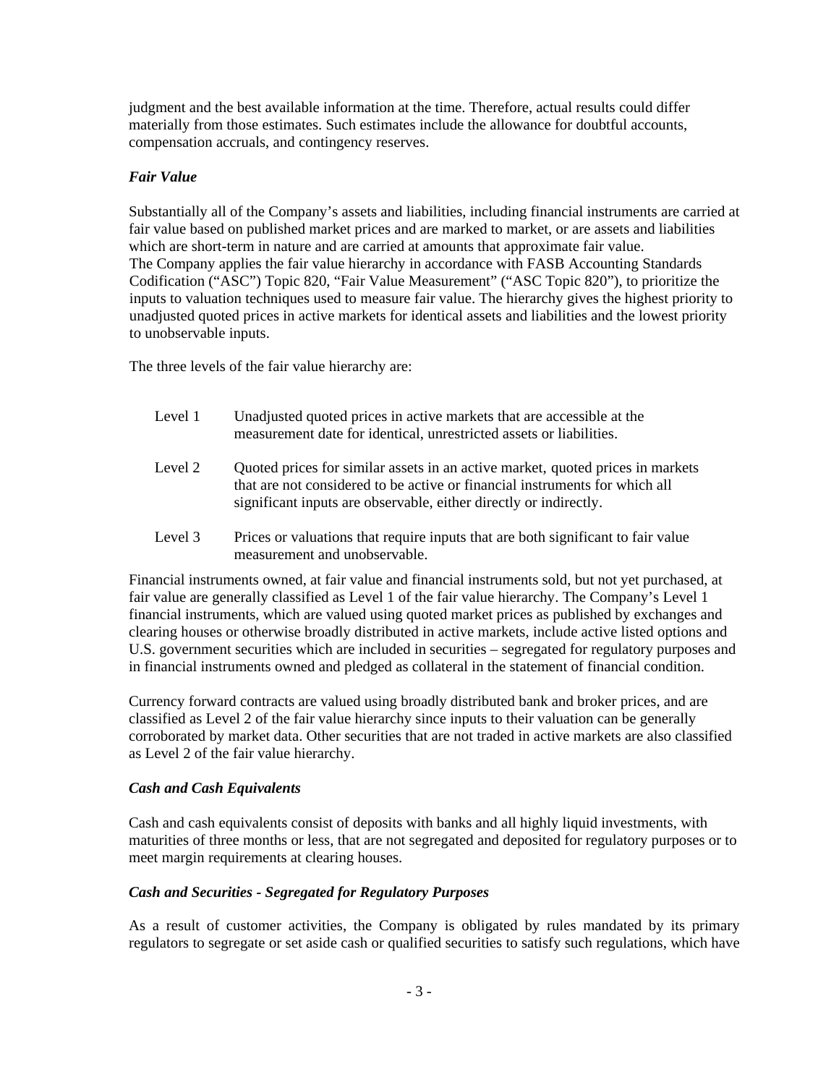judgment and the best available information at the time. Therefore, actual results could differ materially from those estimates. Such estimates include the allowance for doubtful accounts, compensation accruals, and contingency reserves.

# *Fair Value*

Substantially all of the Company's assets and liabilities, including financial instruments are carried at fair value based on published market prices and are marked to market, or are assets and liabilities which are short-term in nature and are carried at amounts that approximate fair value. The Company applies the fair value hierarchy in accordance with FASB Accounting Standards Codification ("ASC") Topic 820, "Fair Value Measurement" ("ASC Topic 820"), to prioritize the inputs to valuation techniques used to measure fair value. The hierarchy gives the highest priority to unadjusted quoted prices in active markets for identical assets and liabilities and the lowest priority to unobservable inputs.

The three levels of the fair value hierarchy are:

- Level 1 Unadjusted quoted prices in active markets that are accessible at the measurement date for identical, unrestricted assets or liabilities.
- Level 2 Quoted prices for similar assets in an active market, quoted prices in markets that are not considered to be active or financial instruments for which all significant inputs are observable, either directly or indirectly.
- Level 3 Prices or valuations that require inputs that are both significant to fair value measurement and unobservable.

Financial instruments owned, at fair value and financial instruments sold, but not yet purchased, at fair value are generally classified as Level 1 of the fair value hierarchy. The Company's Level 1 financial instruments, which are valued using quoted market prices as published by exchanges and clearing houses or otherwise broadly distributed in active markets, include active listed options and U.S. government securities which are included in securities – segregated for regulatory purposes and in financial instruments owned and pledged as collateral in the statement of financial condition.

Currency forward contracts are valued using broadly distributed bank and broker prices, and are classified as Level 2 of the fair value hierarchy since inputs to their valuation can be generally corroborated by market data. Other securities that are not traded in active markets are also classified as Level 2 of the fair value hierarchy.

# *Cash and Cash Equivalents*

Cash and cash equivalents consist of deposits with banks and all highly liquid investments, with maturities of three months or less, that are not segregated and deposited for regulatory purposes or to meet margin requirements at clearing houses.

# *Cash and Securities - Segregated for Regulatory Purposes*

As a result of customer activities, the Company is obligated by rules mandated by its primary regulators to segregate or set aside cash or qualified securities to satisfy such regulations, which have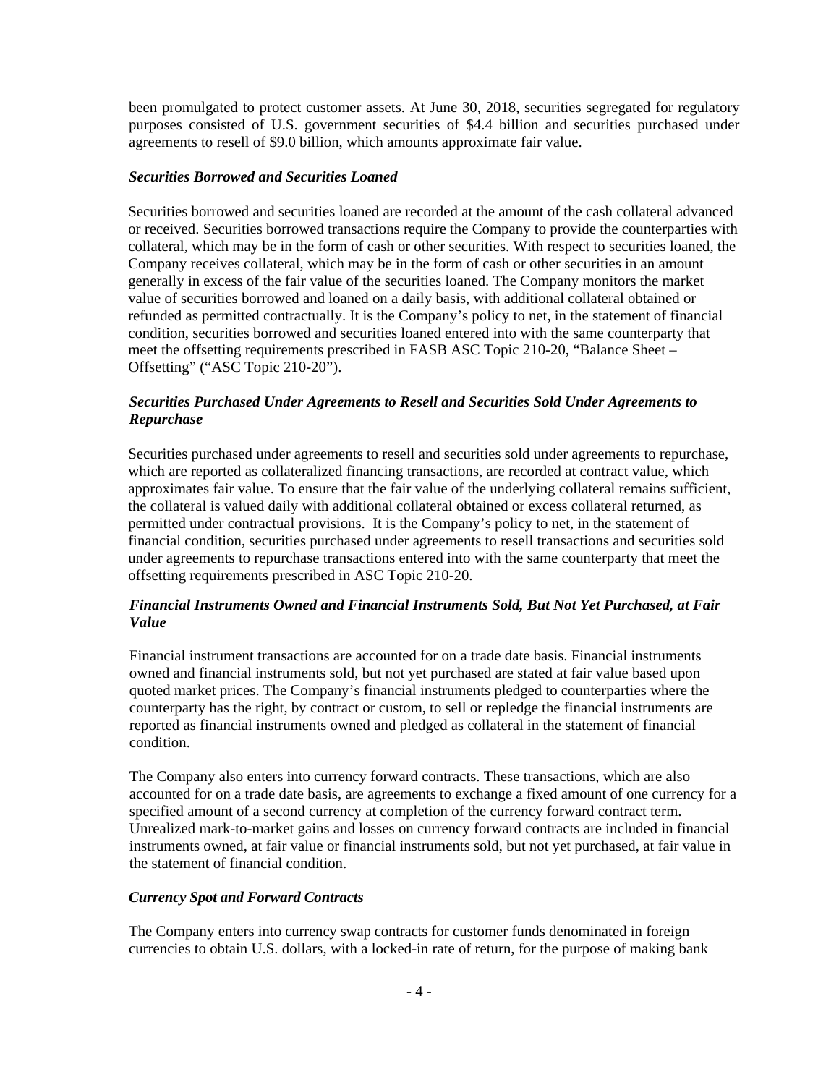been promulgated to protect customer assets. At June 30, 2018, securities segregated for regulatory purposes consisted of U.S. government securities of \$4.4 billion and securities purchased under agreements to resell of \$9.0 billion, which amounts approximate fair value.

#### *Securities Borrowed and Securities Loaned*

Securities borrowed and securities loaned are recorded at the amount of the cash collateral advanced or received. Securities borrowed transactions require the Company to provide the counterparties with collateral, which may be in the form of cash or other securities. With respect to securities loaned, the Company receives collateral, which may be in the form of cash or other securities in an amount generally in excess of the fair value of the securities loaned. The Company monitors the market value of securities borrowed and loaned on a daily basis, with additional collateral obtained or refunded as permitted contractually. It is the Company's policy to net, in the statement of financial condition, securities borrowed and securities loaned entered into with the same counterparty that meet the offsetting requirements prescribed in FASB ASC Topic 210-20, "Balance Sheet – Offsetting" ("ASC Topic 210-20").

# *Securities Purchased Under Agreements to Resell and Securities Sold Under Agreements to Repurchase*

Securities purchased under agreements to resell and securities sold under agreements to repurchase, which are reported as collateralized financing transactions, are recorded at contract value, which approximates fair value. To ensure that the fair value of the underlying collateral remains sufficient, the collateral is valued daily with additional collateral obtained or excess collateral returned, as permitted under contractual provisions. It is the Company's policy to net, in the statement of financial condition, securities purchased under agreements to resell transactions and securities sold under agreements to repurchase transactions entered into with the same counterparty that meet the offsetting requirements prescribed in ASC Topic 210-20.

# *Financial Instruments Owned and Financial Instruments Sold, But Not Yet Purchased, at Fair Value*

Financial instrument transactions are accounted for on a trade date basis. Financial instruments owned and financial instruments sold, but not yet purchased are stated at fair value based upon quoted market prices. The Company's financial instruments pledged to counterparties where the counterparty has the right, by contract or custom, to sell or repledge the financial instruments are reported as financial instruments owned and pledged as collateral in the statement of financial condition.

The Company also enters into currency forward contracts. These transactions, which are also accounted for on a trade date basis, are agreements to exchange a fixed amount of one currency for a specified amount of a second currency at completion of the currency forward contract term. Unrealized mark-to-market gains and losses on currency forward contracts are included in financial instruments owned, at fair value or financial instruments sold, but not yet purchased, at fair value in the statement of financial condition.

#### *Currency Spot and Forward Contracts*

The Company enters into currency swap contracts for customer funds denominated in foreign currencies to obtain U.S. dollars, with a locked-in rate of return, for the purpose of making bank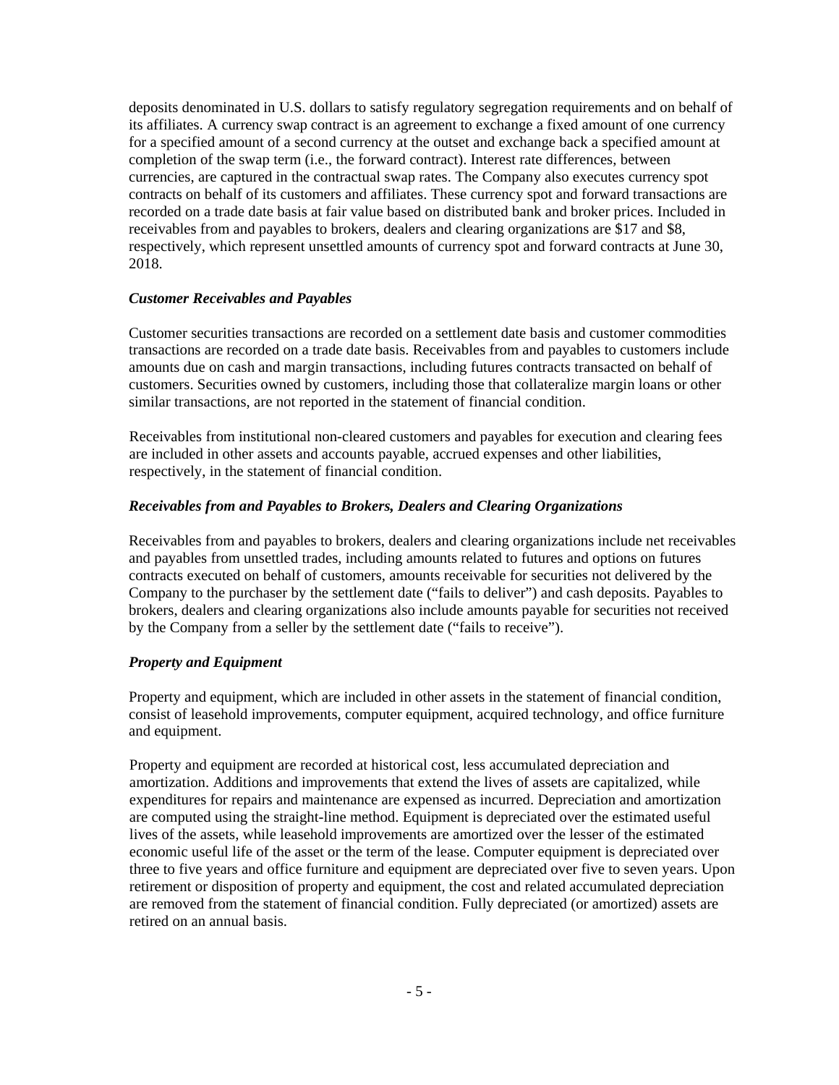deposits denominated in U.S. dollars to satisfy regulatory segregation requirements and on behalf of its affiliates. A currency swap contract is an agreement to exchange a fixed amount of one currency for a specified amount of a second currency at the outset and exchange back a specified amount at completion of the swap term (i.e., the forward contract). Interest rate differences, between currencies, are captured in the contractual swap rates. The Company also executes currency spot contracts on behalf of its customers and affiliates. These currency spot and forward transactions are recorded on a trade date basis at fair value based on distributed bank and broker prices. Included in receivables from and payables to brokers, dealers and clearing organizations are \$17 and \$8, respectively, which represent unsettled amounts of currency spot and forward contracts at June 30, 2018.

#### *Customer Receivables and Payables*

Customer securities transactions are recorded on a settlement date basis and customer commodities transactions are recorded on a trade date basis. Receivables from and payables to customers include amounts due on cash and margin transactions, including futures contracts transacted on behalf of customers. Securities owned by customers, including those that collateralize margin loans or other similar transactions, are not reported in the statement of financial condition.

Receivables from institutional non-cleared customers and payables for execution and clearing fees are included in other assets and accounts payable, accrued expenses and other liabilities, respectively, in the statement of financial condition.

#### *Receivables from and Payables to Brokers, Dealers and Clearing Organizations*

Receivables from and payables to brokers, dealers and clearing organizations include net receivables and payables from unsettled trades, including amounts related to futures and options on futures contracts executed on behalf of customers, amounts receivable for securities not delivered by the Company to the purchaser by the settlement date ("fails to deliver") and cash deposits. Payables to brokers, dealers and clearing organizations also include amounts payable for securities not received by the Company from a seller by the settlement date ("fails to receive").

#### *Property and Equipment*

Property and equipment, which are included in other assets in the statement of financial condition, consist of leasehold improvements, computer equipment, acquired technology, and office furniture and equipment.

Property and equipment are recorded at historical cost, less accumulated depreciation and amortization. Additions and improvements that extend the lives of assets are capitalized, while expenditures for repairs and maintenance are expensed as incurred. Depreciation and amortization are computed using the straight-line method. Equipment is depreciated over the estimated useful lives of the assets, while leasehold improvements are amortized over the lesser of the estimated economic useful life of the asset or the term of the lease. Computer equipment is depreciated over three to five years and office furniture and equipment are depreciated over five to seven years. Upon retirement or disposition of property and equipment, the cost and related accumulated depreciation are removed from the statement of financial condition. Fully depreciated (or amortized) assets are retired on an annual basis.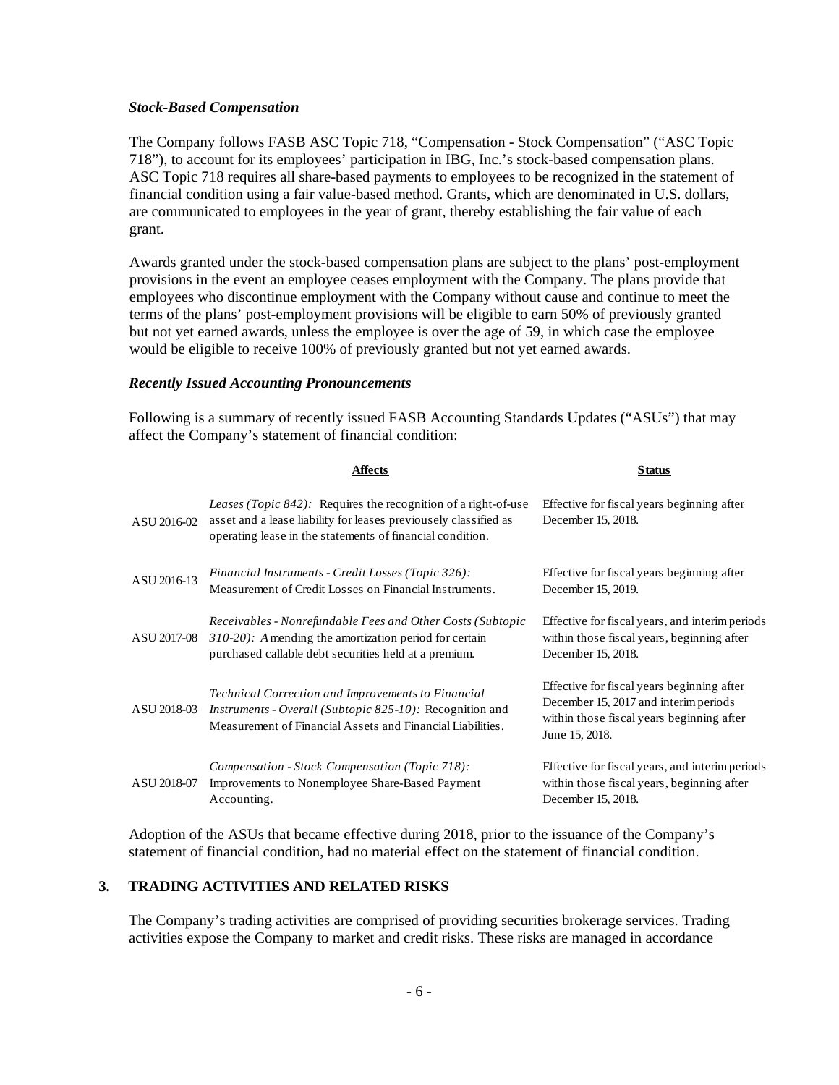#### *Stock-Based Compensation*

The Company follows FASB ASC Topic 718, "Compensation - Stock Compensation" ("ASC Topic 718"), to account for its employees' participation in IBG, Inc.'s stock-based compensation plans. ASC Topic 718 requires all share-based payments to employees to be recognized in the statement of financial condition using a fair value-based method. Grants, which are denominated in U.S. dollars, are communicated to employees in the year of grant, thereby establishing the fair value of each grant.

Awards granted under the stock-based compensation plans are subject to the plans' post-employment provisions in the event an employee ceases employment with the Company. The plans provide that employees who discontinue employment with the Company without cause and continue to meet the terms of the plans' post-employment provisions will be eligible to earn 50% of previously granted but not yet earned awards, unless the employee is over the age of 59, in which case the employee would be eligible to receive 100% of previously granted but not yet earned awards.

#### *Recently Issued Accounting Pronouncements*

Following is a summary of recently issued FASB Accounting Standards Updates ("ASUs") that may affect the Company's statement of financial condition:

|             | Affects                                                                                                                                                                                                | <b>Status</b>                                                                                                                                     |
|-------------|--------------------------------------------------------------------------------------------------------------------------------------------------------------------------------------------------------|---------------------------------------------------------------------------------------------------------------------------------------------------|
| ASU 2016-02 | <i>Leases (Topic 842):</i> Requires the recognition of a right-of-use<br>asset and a lease liability for leases previousely classified as<br>operating lease in the statements of financial condition. | Effective for fiscal years beginning after<br>December 15, 2018.                                                                                  |
| ASU 2016-13 | Financial Instruments - Credit Losses (Topic 326):<br>Measurement of Credit Losses on Financial Instruments.                                                                                           | Effective for fiscal years beginning after<br>December 15, 2019.                                                                                  |
| ASU 2017-08 | Receivables - Nonrefundable Fees and Other Costs (Subtopic<br>$310-20$ ): A mending the amortization period for certain<br>purchased callable debt securities held at a premium.                       | Effective for fiscal years, and interimperiods<br>within those fiscal years, beginning after<br>December 15, 2018.                                |
| ASU 2018-03 | Technical Correction and Improvements to Financial<br><i>Instruments - Overall (Subtopic 825-10):</i> Recognition and<br>Measurement of Financial Assets and Financial Liabilities.                    | Effective for fiscal years beginning after<br>December 15, 2017 and interimperiods<br>within those fiscal years beginning after<br>June 15, 2018. |
| ASU 2018-07 | Compensation - Stock Compensation (Topic 718):<br>Improvements to Nonemployee Share-Based Payment<br>Accounting.                                                                                       | Effective for fiscal years, and interimperiods<br>within those fiscal years, beginning after<br>December 15, 2018.                                |

Adoption of the ASUs that became effective during 2018, prior to the issuance of the Company's statement of financial condition, had no material effect on the statement of financial condition.

#### **3. TRADING ACTIVITIES AND RELATED RISKS**

The Company's trading activities are comprised of providing securities brokerage services. Trading activities expose the Company to market and credit risks. These risks are managed in accordance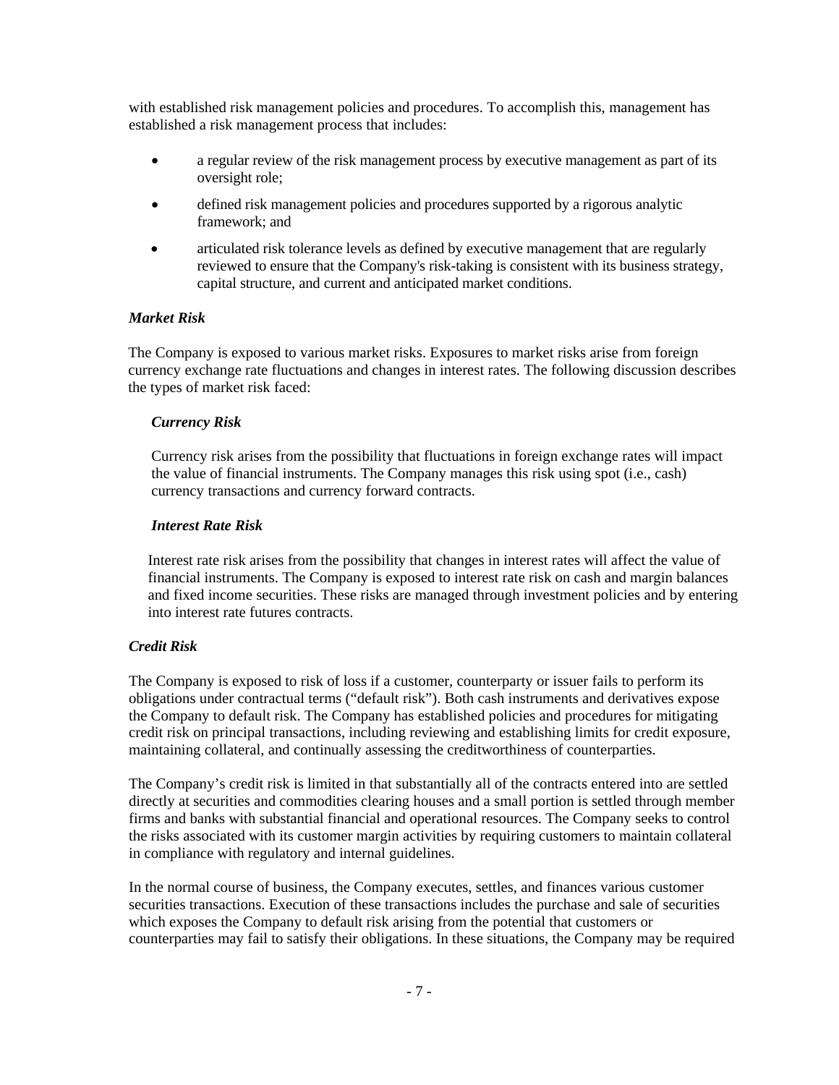with established risk management policies and procedures. To accomplish this, management has established a risk management process that includes:

- a regular review of the risk management process by executive management as part of its oversight role;
- defined risk management policies and procedures supported by a rigorous analytic framework; and
- articulated risk tolerance levels as defined by executive management that are regularly reviewed to ensure that the Company's risk-taking is consistent with its business strategy, capital structure, and current and anticipated market conditions.

#### *Market Risk*

The Company is exposed to various market risks. Exposures to market risks arise from foreign currency exchange rate fluctuations and changes in interest rates. The following discussion describes the types of market risk faced:

#### *Currency Risk*

Currency risk arises from the possibility that fluctuations in foreign exchange rates will impact the value of financial instruments. The Company manages this risk using spot (i.e., cash) currency transactions and currency forward contracts.

#### *Interest Rate Risk*

Interest rate risk arises from the possibility that changes in interest rates will affect the value of financial instruments. The Company is exposed to interest rate risk on cash and margin balances and fixed income securities. These risks are managed through investment policies and by entering into interest rate futures contracts.

# *Credit Risk*

The Company is exposed to risk of loss if a customer, counterparty or issuer fails to perform its obligations under contractual terms ("default risk"). Both cash instruments and derivatives expose the Company to default risk. The Company has established policies and procedures for mitigating credit risk on principal transactions, including reviewing and establishing limits for credit exposure, maintaining collateral, and continually assessing the creditworthiness of counterparties.

The Company's credit risk is limited in that substantially all of the contracts entered into are settled directly at securities and commodities clearing houses and a small portion is settled through member firms and banks with substantial financial and operational resources. The Company seeks to control the risks associated with its customer margin activities by requiring customers to maintain collateral in compliance with regulatory and internal guidelines.

In the normal course of business, the Company executes, settles, and finances various customer securities transactions. Execution of these transactions includes the purchase and sale of securities which exposes the Company to default risk arising from the potential that customers or counterparties may fail to satisfy their obligations. In these situations, the Company may be required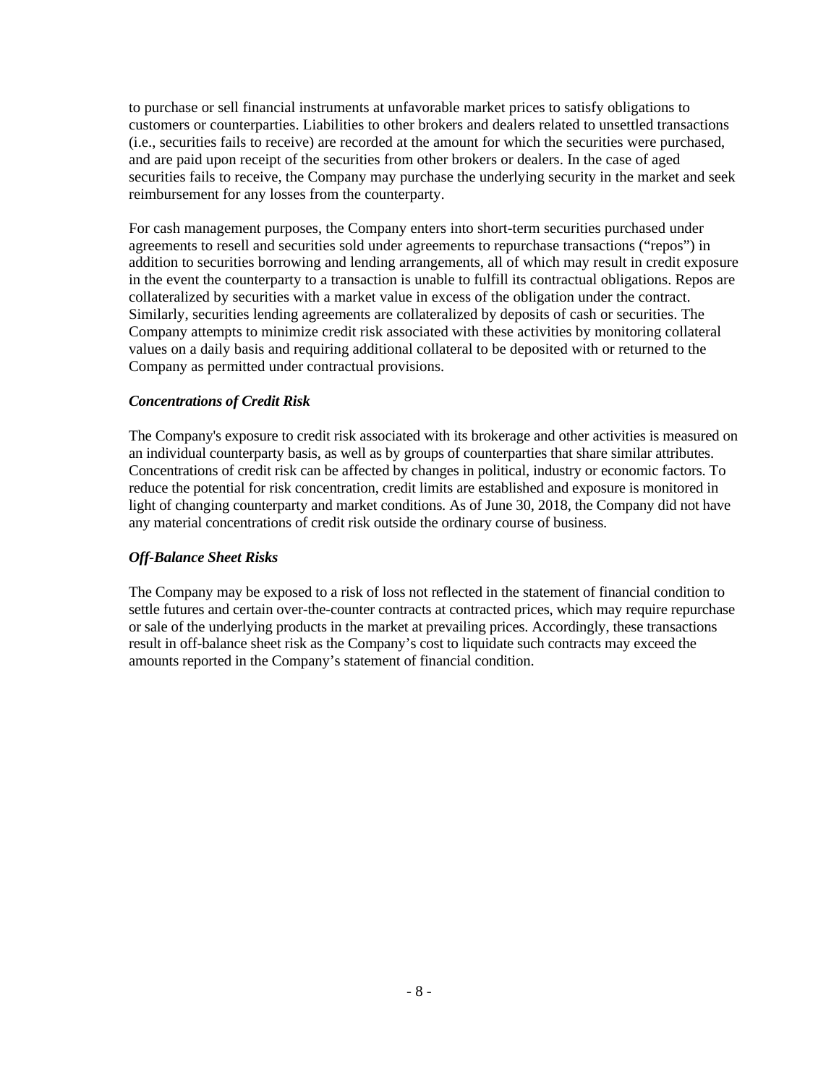to purchase or sell financial instruments at unfavorable market prices to satisfy obligations to customers or counterparties. Liabilities to other brokers and dealers related to unsettled transactions (i.e., securities fails to receive) are recorded at the amount for which the securities were purchased, and are paid upon receipt of the securities from other brokers or dealers. In the case of aged securities fails to receive, the Company may purchase the underlying security in the market and seek reimbursement for any losses from the counterparty.

For cash management purposes, the Company enters into short-term securities purchased under agreements to resell and securities sold under agreements to repurchase transactions ("repos") in addition to securities borrowing and lending arrangements, all of which may result in credit exposure in the event the counterparty to a transaction is unable to fulfill its contractual obligations. Repos are collateralized by securities with a market value in excess of the obligation under the contract. Similarly, securities lending agreements are collateralized by deposits of cash or securities. The Company attempts to minimize credit risk associated with these activities by monitoring collateral values on a daily basis and requiring additional collateral to be deposited with or returned to the Company as permitted under contractual provisions.

# *Concentrations of Credit Risk*

The Company's exposure to credit risk associated with its brokerage and other activities is measured on an individual counterparty basis, as well as by groups of counterparties that share similar attributes. Concentrations of credit risk can be affected by changes in political, industry or economic factors. To reduce the potential for risk concentration, credit limits are established and exposure is monitored in light of changing counterparty and market conditions. As of June 30, 2018, the Company did not have any material concentrations of credit risk outside the ordinary course of business.

# *Off-Balance Sheet Risks*

The Company may be exposed to a risk of loss not reflected in the statement of financial condition to settle futures and certain over-the-counter contracts at contracted prices, which may require repurchase or sale of the underlying products in the market at prevailing prices. Accordingly, these transactions result in off-balance sheet risk as the Company's cost to liquidate such contracts may exceed the amounts reported in the Company's statement of financial condition.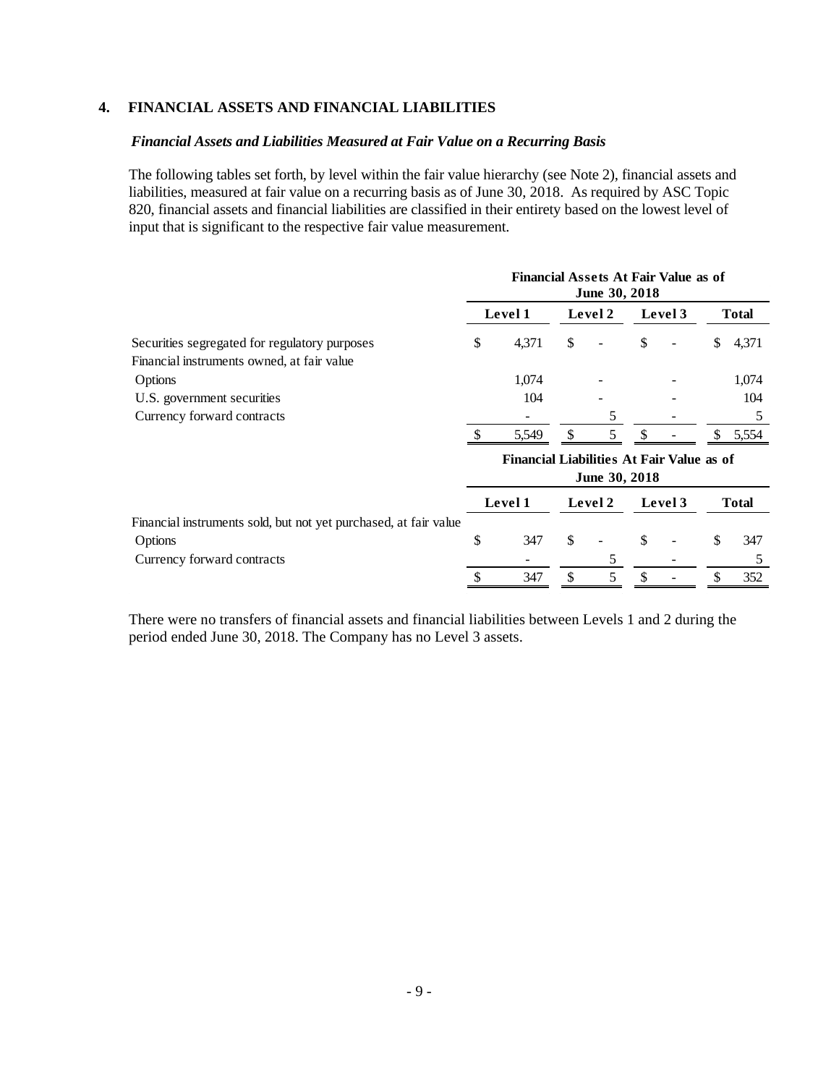# **4. FINANCIAL ASSETS AND FINANCIAL LIABILITIES**

#### *Financial Assets and Liabilities Measured at Fair Value on a Recurring Basis*

The following tables set forth, by level within the fair value hierarchy (see Note 2), financial assets and liabilities, measured at fair value on a recurring basis as of June 30, 2018. As required by ASC Topic 820, financial assets and financial liabilities are classified in their entirety based on the lowest level of input that is significant to the respective fair value measurement.

|                                                                  | <b>Financial Assets At Fair Value as of</b><br>June 30, 2018 |                                           |    |               |    |         |    |              |  |  |
|------------------------------------------------------------------|--------------------------------------------------------------|-------------------------------------------|----|---------------|----|---------|----|--------------|--|--|
|                                                                  |                                                              | Level 1                                   |    | Level 2       |    | Level 3 |    | <b>Total</b> |  |  |
| Securities segregated for regulatory purposes                    | \$                                                           | 4,371                                     | \$ |               | \$ |         | \$ | 4,371        |  |  |
| Financial instruments owned, at fair value                       |                                                              |                                           |    |               |    |         |    |              |  |  |
| Options                                                          |                                                              | 1,074                                     |    |               |    |         |    | 1,074        |  |  |
| U.S. government securities                                       |                                                              | 104                                       |    |               |    |         |    | 104          |  |  |
| Currency forward contracts                                       |                                                              |                                           |    | 5             |    |         |    | 5            |  |  |
|                                                                  |                                                              | 5,549                                     |    | 5             |    |         |    | 5,554        |  |  |
|                                                                  |                                                              | Financial Liabilities At Fair Value as of |    |               |    |         |    |              |  |  |
|                                                                  |                                                              |                                           |    | June 30, 2018 |    |         |    |              |  |  |
|                                                                  |                                                              | Level 1                                   |    | Level 2       |    | Level 3 |    | <b>Total</b> |  |  |
| Financial instruments sold, but not yet purchased, at fair value |                                                              |                                           |    |               |    |         |    |              |  |  |
| Options                                                          | \$                                                           | 347                                       | \$ |               | \$ |         | \$ | 347          |  |  |
| Currency forward contracts                                       |                                                              |                                           |    | 5             |    |         |    | 5            |  |  |
|                                                                  |                                                              | 347                                       | \$ | 5             | \$ |         | \$ | 352          |  |  |

There were no transfers of financial assets and financial liabilities between Levels 1 and 2 during the period ended June 30, 2018. The Company has no Level 3 assets.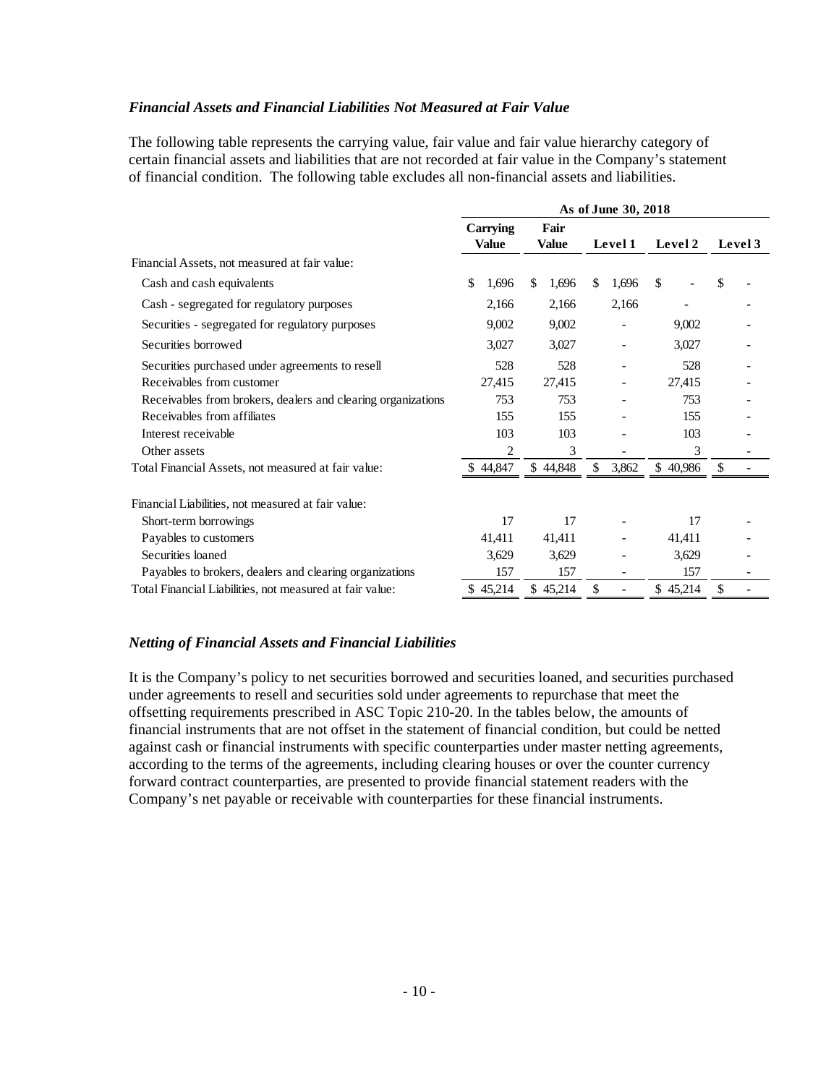#### *Financial Assets and Financial Liabilities Not Measured at Fair Value*

The following table represents the carrying value, fair value and fair value hierarchy category of certain financial assets and liabilities that are not recorded at fair value in the Company's statement of financial condition. The following table excludes all non-financial assets and liabilities.

|                                                              | As of June 30, 2018 |              |             |          |         |  |  |  |
|--------------------------------------------------------------|---------------------|--------------|-------------|----------|---------|--|--|--|
|                                                              | <b>Carrying</b>     | Fair         |             |          |         |  |  |  |
|                                                              | <b>Value</b>        | <b>Value</b> | Level 1     | Level 2  | Level 3 |  |  |  |
| Financial Assets, not measured at fair value:                |                     |              |             |          |         |  |  |  |
| Cash and cash equivalents                                    | \$<br>1,696         | \$<br>1,696  | \$<br>1,696 | \$       | \$      |  |  |  |
| Cash - segregated for regulatory purposes                    | 2,166               | 2,166        | 2,166       |          |         |  |  |  |
| Securities - segregated for regulatory purposes              | 9,002               | 9,002        |             | 9,002    |         |  |  |  |
| Securities borrowed                                          | 3,027               | 3,027        |             | 3,027    |         |  |  |  |
| Securities purchased under agreements to resell              | 528                 | 528          |             | 528      |         |  |  |  |
| Receivables from customer                                    | 27,415              | 27,415       |             | 27,415   |         |  |  |  |
| Receivables from brokers, dealers and clearing organizations | 753                 | 753          |             | 753      |         |  |  |  |
| Receivables from affiliates                                  | 155                 | 155          |             | 155      |         |  |  |  |
| Interest receivable                                          | 103                 | 103          |             | 103      |         |  |  |  |
| Other assets                                                 | $\overline{c}$      | 3            |             | 3        |         |  |  |  |
| Total Financial Assets, not measured at fair value:          | \$44,847            | \$44,848     | \$<br>3,862 | \$40,986 | S.      |  |  |  |
| Financial Liabilities, not measured at fair value:           |                     |              |             |          |         |  |  |  |
| Short-term borrowings                                        | 17                  | 17           |             | 17       |         |  |  |  |
| Payables to customers                                        | 41,411              | 41,411       |             | 41,411   |         |  |  |  |
| Securities loaned                                            | 3,629               | 3,629        |             | 3,629    |         |  |  |  |
| Payables to brokers, dealers and clearing organizations      | 157                 | 157          |             | 157      |         |  |  |  |
| Total Financial Liabilities, not measured at fair value:     | \$45,214            | \$45,214     | \$          | \$45,214 | \$      |  |  |  |

# *Netting of Financial Assets and Financial Liabilities*

It is the Company's policy to net securities borrowed and securities loaned, and securities purchased under agreements to resell and securities sold under agreements to repurchase that meet the offsetting requirements prescribed in ASC Topic 210-20. In the tables below, the amounts of financial instruments that are not offset in the statement of financial condition, but could be netted against cash or financial instruments with specific counterparties under master netting agreements, according to the terms of the agreements, including clearing houses or over the counter currency forward contract counterparties, are presented to provide financial statement readers with the Company's net payable or receivable with counterparties for these financial instruments.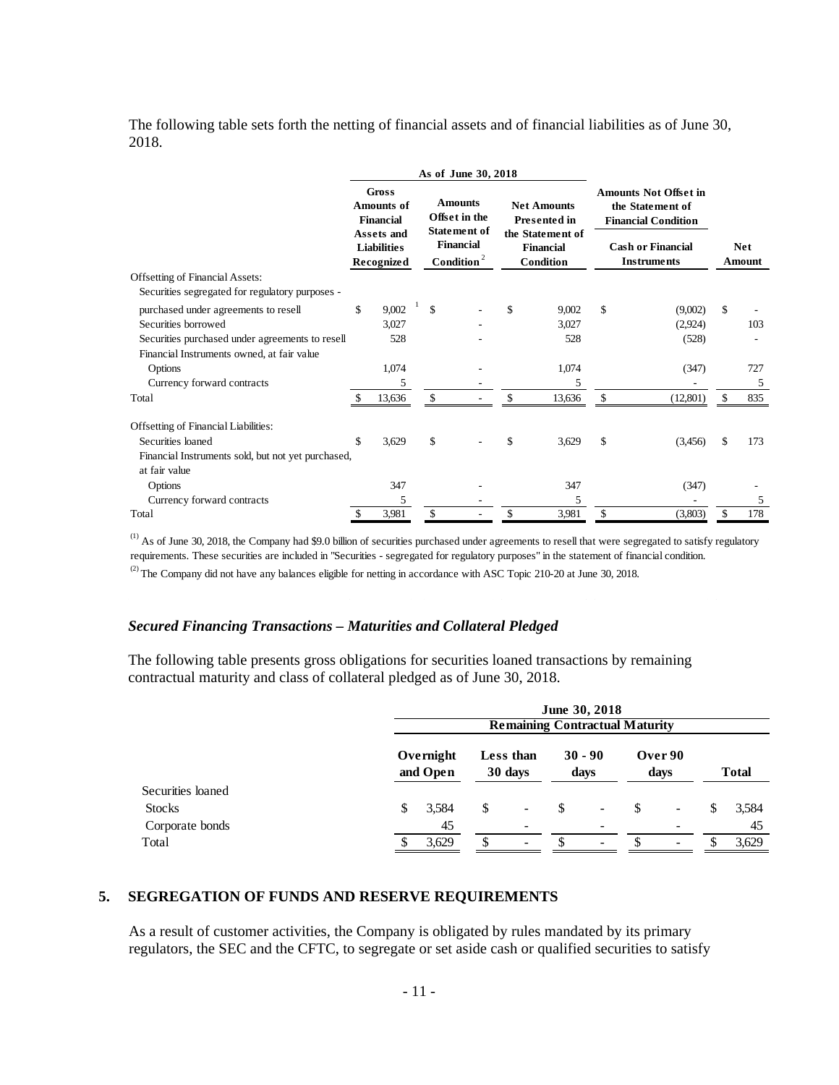The following table sets forth the netting of financial assets and of financial liabilities as of June 30, 2018.

|                                                    | As of June 30, 2018 |                                                                                                                |              |                                                                                               |    |                                                                                                |                                                                                                                                  |          |               |               |
|----------------------------------------------------|---------------------|----------------------------------------------------------------------------------------------------------------|--------------|-----------------------------------------------------------------------------------------------|----|------------------------------------------------------------------------------------------------|----------------------------------------------------------------------------------------------------------------------------------|----------|---------------|---------------|
|                                                    |                     | <b>Gross</b><br><b>Amounts of</b><br><b>Financial</b><br><b>Assets and</b><br><b>Liabilities</b><br>Recognized |              | <b>Amounts</b><br>Offset in the<br>Statement of<br><b>Financial</b><br>$\mathbf{Condition}^2$ |    | <b>Net Amounts</b><br><b>Presented in</b><br>the Statement of<br><b>Financial</b><br>Condition | <b>Amounts Not Offset in</b><br>the Statement of<br><b>Financial Condition</b><br><b>Cash or Financial</b><br><b>Instruments</b> |          |               | Net<br>Amount |
| <b>Offsetting of Financial Assets:</b>             |                     |                                                                                                                |              |                                                                                               |    |                                                                                                |                                                                                                                                  |          |               |               |
| Securities segregated for regulatory purposes -    |                     |                                                                                                                |              |                                                                                               |    |                                                                                                |                                                                                                                                  |          |               |               |
| purchased under agreements to resell               | \$                  | 9,002                                                                                                          | $\mathbf{s}$ |                                                                                               | \$ | 9,002                                                                                          | \$                                                                                                                               | (9,002)  | $\mathcal{S}$ |               |
| Securities borrowed                                |                     | 3,027                                                                                                          |              |                                                                                               |    | 3,027                                                                                          |                                                                                                                                  | (2,924)  |               | 103           |
| Securities purchased under agreements to resell    |                     | 528                                                                                                            |              |                                                                                               |    | 528                                                                                            |                                                                                                                                  | (528)    |               |               |
| Financial Instruments owned, at fair value         |                     |                                                                                                                |              |                                                                                               |    |                                                                                                |                                                                                                                                  |          |               |               |
| Options                                            |                     | 1,074                                                                                                          |              |                                                                                               |    | 1,074                                                                                          |                                                                                                                                  | (347)    |               | 727           |
| Currency forward contracts                         |                     | 5                                                                                                              |              |                                                                                               |    | 5                                                                                              |                                                                                                                                  |          |               | 5             |
| Total                                              | \$                  | 13,636                                                                                                         | \$           |                                                                                               |    | 13,636                                                                                         | \$                                                                                                                               | (12,801) |               | 835           |
| Offsetting of Financial Liabilities:               |                     |                                                                                                                |              |                                                                                               |    |                                                                                                |                                                                                                                                  |          |               |               |
| Securities loaned                                  | \$                  | 3,629                                                                                                          | \$           |                                                                                               | \$ | 3,629                                                                                          | \$                                                                                                                               | (3,456)  | \$            | 173           |
| Financial Instruments sold, but not yet purchased, |                     |                                                                                                                |              |                                                                                               |    |                                                                                                |                                                                                                                                  |          |               |               |
| at fair value                                      |                     |                                                                                                                |              |                                                                                               |    |                                                                                                |                                                                                                                                  |          |               |               |
| Options                                            |                     | 347                                                                                                            |              |                                                                                               |    | 347                                                                                            |                                                                                                                                  | (347)    |               |               |
| Currency forward contracts                         |                     | 5                                                                                                              |              |                                                                                               |    | 5                                                                                              |                                                                                                                                  |          |               | 5             |
| Total                                              | \$                  | 3,981                                                                                                          | \$           |                                                                                               | \$ | 3,981                                                                                          | \$                                                                                                                               | (3,803)  | \$            | 178           |

 $^{(1)}$  As of June 30, 2018, the Company had \$9.0 billion of securities purchased under agreements to resell that were segregated to satisfy regulatory requirements. These securities are included in "Securities - segregated for regulatory purposes" in the statement of financial condition.

<sup>(2)</sup> The Company did not have any balances eligible for netting in accordance with ASC Topic 210-20 at June 30, 2018.

#### *Secured Financing Transactions – Maturities and Collateral Pledged*

The following table presents gross obligations for securities loaned transactions by remaining contractual maturity and class of collateral pledged as of June 30, 2018.

|                   | June 30, 2018<br><b>Remaining Contractual Maturity</b> |               |                          |               |                          |    |                          |    |              |  |
|-------------------|--------------------------------------------------------|---------------|--------------------------|---------------|--------------------------|----|--------------------------|----|--------------|--|
|                   | Overnight<br>and Open                                  |               | Less than<br>30 days     |               | $30 - 90$<br>days        |    | Over 90<br>days          |    | <b>Total</b> |  |
| Securities loaned |                                                        |               |                          |               |                          |    |                          |    |              |  |
| <b>Stocks</b>     | 3,584<br>S                                             | <sup>\$</sup> | $\overline{\phantom{a}}$ | <sup>\$</sup> | $\overline{\phantom{a}}$ | \$ | $\overline{\phantom{a}}$ | \$ | 3,584        |  |
| Corporate bonds   | 45                                                     |               |                          |               |                          |    |                          |    | 45           |  |
| Total             | 3,629                                                  | \$            | $\overline{\phantom{a}}$ |               | $\overline{\phantom{0}}$ |    |                          |    | 3,629        |  |

#### **5. SEGREGATION OF FUNDS AND RESERVE REQUIREMENTS**

As a result of customer activities, the Company is obligated by rules mandated by its primary regulators, the SEC and the CFTC, to segregate or set aside cash or qualified securities to satisfy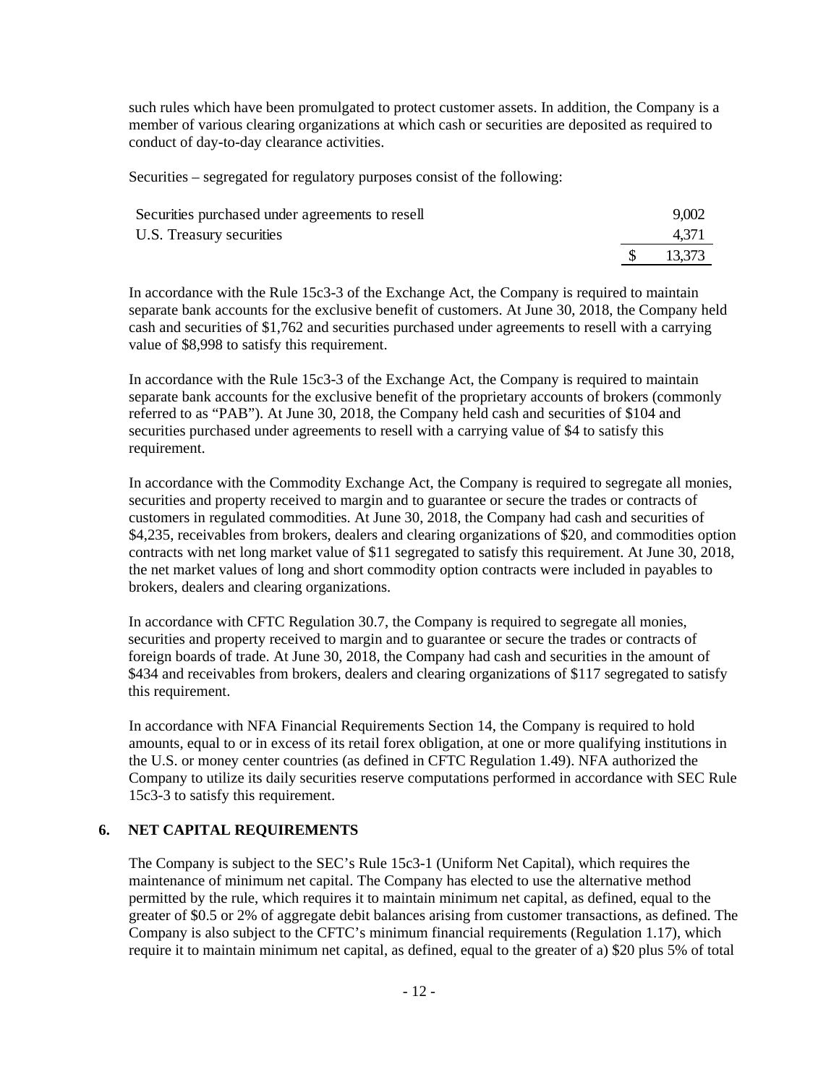such rules which have been promulgated to protect customer assets. In addition, the Company is a member of various clearing organizations at which cash or securities are deposited as required to conduct of day-to-day clearance activities.

Securities – segregated for regulatory purposes consist of the following:

| Securities purchased under agreements to resell | 9,002  |
|-------------------------------------------------|--------|
| U.S. Treasury securities                        | 4.371  |
|                                                 | 13,373 |

In accordance with the Rule 15c3-3 of the Exchange Act, the Company is required to maintain separate bank accounts for the exclusive benefit of customers. At June 30, 2018, the Company held cash and securities of \$1,762 and securities purchased under agreements to resell with a carrying value of \$8,998 to satisfy this requirement.

In accordance with the Rule 15c3-3 of the Exchange Act, the Company is required to maintain separate bank accounts for the exclusive benefit of the proprietary accounts of brokers (commonly referred to as "PAB"). At June 30, 2018, the Company held cash and securities of \$104 and securities purchased under agreements to resell with a carrying value of \$4 to satisfy this requirement.

In accordance with the Commodity Exchange Act, the Company is required to segregate all monies, securities and property received to margin and to guarantee or secure the trades or contracts of customers in regulated commodities. At June 30, 2018, the Company had cash and securities of \$4,235, receivables from brokers, dealers and clearing organizations of \$20, and commodities option contracts with net long market value of \$11 segregated to satisfy this requirement. At June 30, 2018, the net market values of long and short commodity option contracts were included in payables to brokers, dealers and clearing organizations.

In accordance with CFTC Regulation 30.7, the Company is required to segregate all monies, securities and property received to margin and to guarantee or secure the trades or contracts of foreign boards of trade. At June 30, 2018, the Company had cash and securities in the amount of \$434 and receivables from brokers, dealers and clearing organizations of \$117 segregated to satisfy this requirement.

In accordance with NFA Financial Requirements Section 14, the Company is required to hold amounts, equal to or in excess of its retail forex obligation, at one or more qualifying institutions in the U.S. or money center countries (as defined in CFTC Regulation 1.49). NFA authorized the Company to utilize its daily securities reserve computations performed in accordance with SEC Rule 15c3-3 to satisfy this requirement.

#### **6. NET CAPITAL REQUIREMENTS**

The Company is subject to the SEC's Rule 15c3-1 (Uniform Net Capital), which requires the maintenance of minimum net capital. The Company has elected to use the alternative method permitted by the rule, which requires it to maintain minimum net capital, as defined, equal to the greater of \$0.5 or 2% of aggregate debit balances arising from customer transactions, as defined. The Company is also subject to the CFTC's minimum financial requirements (Regulation 1.17), which require it to maintain minimum net capital, as defined, equal to the greater of a) \$20 plus 5% of total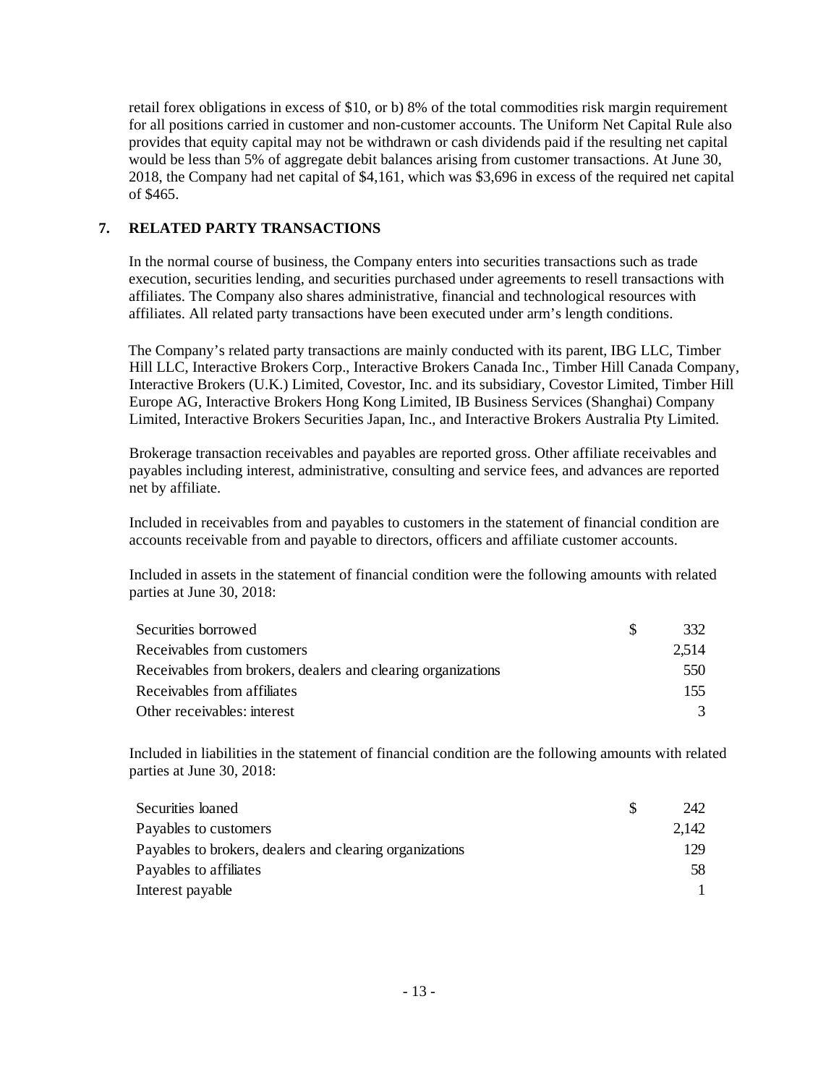retail forex obligations in excess of \$10, or b) 8% of the total commodities risk margin requirement for all positions carried in customer and non-customer accounts. The Uniform Net Capital Rule also provides that equity capital may not be withdrawn or cash dividends paid if the resulting net capital would be less than 5% of aggregate debit balances arising from customer transactions. At June 30, 2018, the Company had net capital of \$4,161, which was \$3,696 in excess of the required net capital of \$465.

# **7. RELATED PARTY TRANSACTIONS**

In the normal course of business, the Company enters into securities transactions such as trade execution, securities lending, and securities purchased under agreements to resell transactions with affiliates. The Company also shares administrative, financial and technological resources with affiliates. All related party transactions have been executed under arm's length conditions.

 The Company's related party transactions are mainly conducted with its parent, IBG LLC, Timber Hill LLC, Interactive Brokers Corp., Interactive Brokers Canada Inc., Timber Hill Canada Company, Interactive Brokers (U.K.) Limited, Covestor, Inc. and its subsidiary, Covestor Limited, Timber Hill Europe AG, Interactive Brokers Hong Kong Limited, IB Business Services (Shanghai) Company Limited, Interactive Brokers Securities Japan, Inc., and Interactive Brokers Australia Pty Limited.

Brokerage transaction receivables and payables are reported gross. Other affiliate receivables and payables including interest, administrative, consulting and service fees, and advances are reported net by affiliate.

Included in receivables from and payables to customers in the statement of financial condition are accounts receivable from and payable to directors, officers and affiliate customer accounts.

Included in assets in the statement of financial condition were the following amounts with related parties at June 30, 2018:

| Securities borrowed                                          | 332   |
|--------------------------------------------------------------|-------|
| Receivables from customers                                   | 2.514 |
| Receivables from brokers, dealers and clearing organizations | 550   |
| Receivables from affiliates                                  | 155   |
| Other receivables: interest                                  |       |

Included in liabilities in the statement of financial condition are the following amounts with related parties at June 30, 2018:

| Securities loaned                                       | 242   |
|---------------------------------------------------------|-------|
| Payables to customers                                   | 2,142 |
| Payables to brokers, dealers and clearing organizations | 129   |
| Payables to affiliates                                  | 58    |
| Interest payable                                        |       |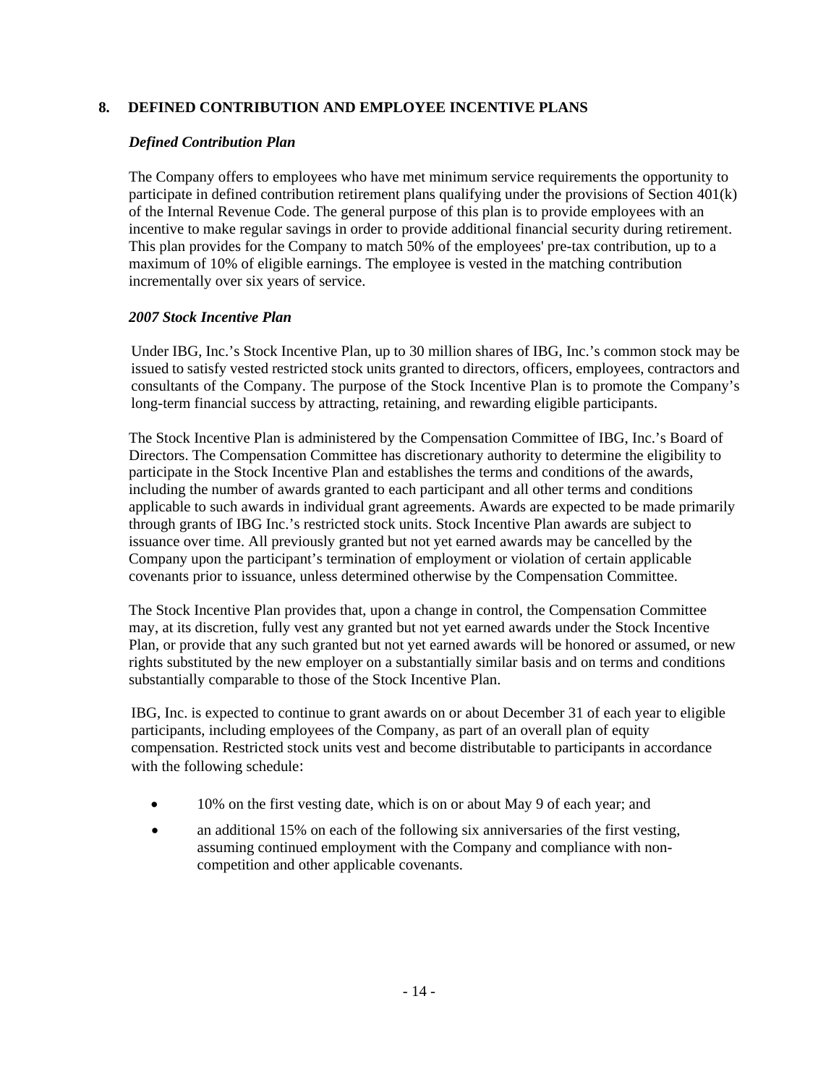# **8. DEFINED CONTRIBUTION AND EMPLOYEE INCENTIVE PLANS**

# *Defined Contribution Plan*

The Company offers to employees who have met minimum service requirements the opportunity to participate in defined contribution retirement plans qualifying under the provisions of Section 401(k) of the Internal Revenue Code. The general purpose of this plan is to provide employees with an incentive to make regular savings in order to provide additional financial security during retirement. This plan provides for the Company to match 50% of the employees' pre-tax contribution, up to a maximum of 10% of eligible earnings. The employee is vested in the matching contribution incrementally over six years of service.

# *2007 Stock Incentive Plan*

Under IBG, Inc.'s Stock Incentive Plan, up to 30 million shares of IBG, Inc.'s common stock may be issued to satisfy vested restricted stock units granted to directors, officers, employees, contractors and consultants of the Company. The purpose of the Stock Incentive Plan is to promote the Company's long-term financial success by attracting, retaining, and rewarding eligible participants.

The Stock Incentive Plan is administered by the Compensation Committee of IBG, Inc.'s Board of Directors. The Compensation Committee has discretionary authority to determine the eligibility to participate in the Stock Incentive Plan and establishes the terms and conditions of the awards, including the number of awards granted to each participant and all other terms and conditions applicable to such awards in individual grant agreements. Awards are expected to be made primarily through grants of IBG Inc.'s restricted stock units. Stock Incentive Plan awards are subject to issuance over time. All previously granted but not yet earned awards may be cancelled by the Company upon the participant's termination of employment or violation of certain applicable covenants prior to issuance, unless determined otherwise by the Compensation Committee.

The Stock Incentive Plan provides that, upon a change in control, the Compensation Committee may, at its discretion, fully vest any granted but not yet earned awards under the Stock Incentive Plan, or provide that any such granted but not yet earned awards will be honored or assumed, or new rights substituted by the new employer on a substantially similar basis and on terms and conditions substantially comparable to those of the Stock Incentive Plan.

IBG, Inc. is expected to continue to grant awards on or about December 31 of each year to eligible participants, including employees of the Company, as part of an overall plan of equity compensation. Restricted stock units vest and become distributable to participants in accordance with the following schedule:

- 10% on the first vesting date, which is on or about May 9 of each year; and
- an additional 15% on each of the following six anniversaries of the first vesting, assuming continued employment with the Company and compliance with noncompetition and other applicable covenants.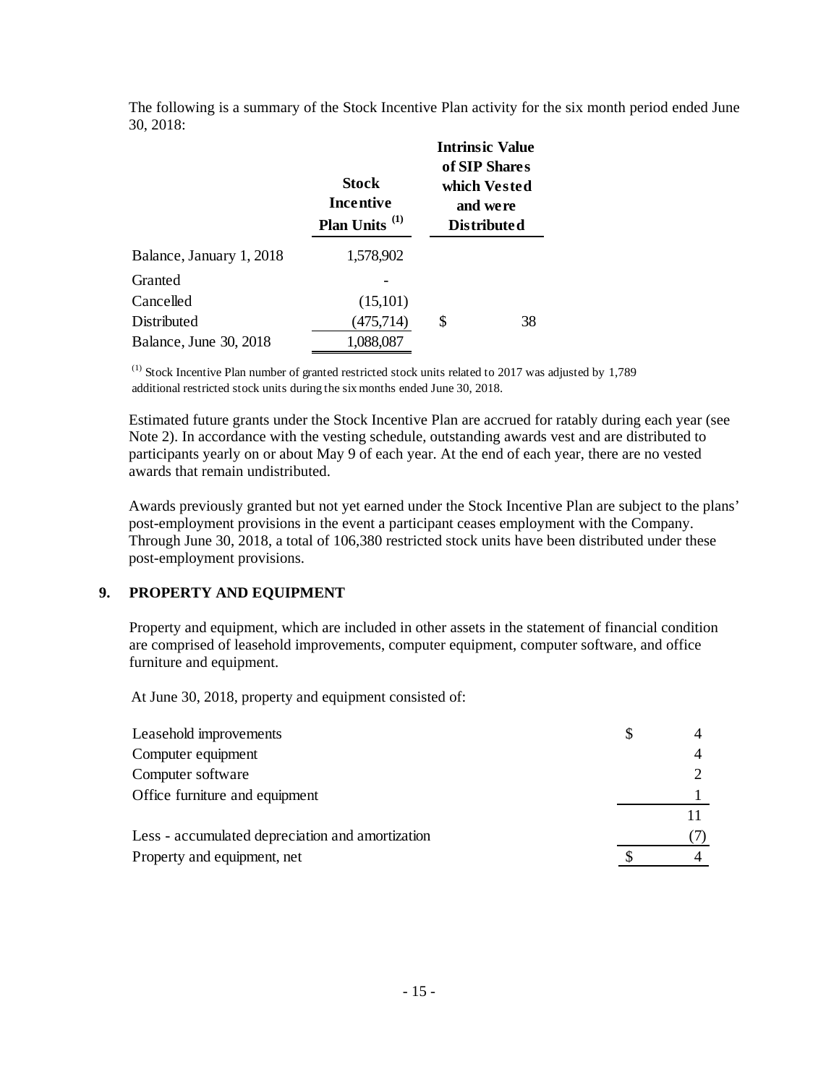The following is a summary of the Stock Incentive Plan activity for the six month period ended June 30, 2018:

|                          | <b>Stock</b><br>Incentive<br>Plan Units <sup>(1)</sup> | <b>Intrinsic Value</b><br>of SIP Shares<br>which Vested<br>and were<br><b>Distributed</b> |
|--------------------------|--------------------------------------------------------|-------------------------------------------------------------------------------------------|
| Balance, January 1, 2018 | 1,578,902                                              |                                                                                           |
| Granted                  |                                                        |                                                                                           |
| Cancelled                | (15,101)                                               |                                                                                           |
| Distributed              | (475, 714)                                             | \$<br>38                                                                                  |
| Balance, June 30, 2018   | 1,088,087                                              |                                                                                           |

(1) Stock Incentive Plan number of granted restricted stock units related to 2017 was adjusted by 1,789 additional restricted stock units during the six months ended June 30, 2018.

Estimated future grants under the Stock Incentive Plan are accrued for ratably during each year (see Note 2). In accordance with the vesting schedule, outstanding awards vest and are distributed to participants yearly on or about May 9 of each year. At the end of each year, there are no vested awards that remain undistributed.

Awards previously granted but not yet earned under the Stock Incentive Plan are subject to the plans' post-employment provisions in the event a participant ceases employment with the Company. Through June 30, 2018, a total of 106,380 restricted stock units have been distributed under these post-employment provisions.

# **9. PROPERTY AND EQUIPMENT**

Property and equipment, which are included in other assets in the statement of financial condition are comprised of leasehold improvements, computer equipment, computer software, and office furniture and equipment.

At June 30, 2018, property and equipment consisted of:

| Leasehold improvements                           |  |
|--------------------------------------------------|--|
| Computer equipment                               |  |
| Computer software                                |  |
| Office furniture and equipment                   |  |
|                                                  |  |
| Less - accumulated depreciation and amortization |  |
| Property and equipment, net                      |  |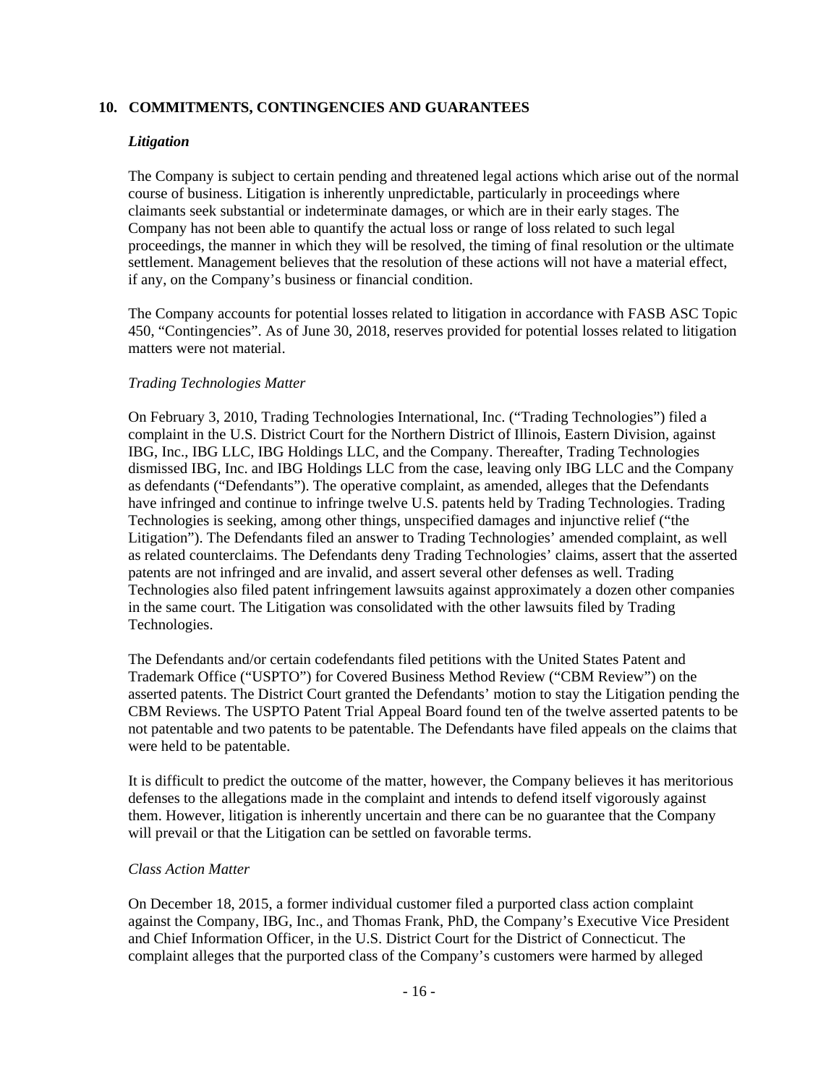#### **10. COMMITMENTS, CONTINGENCIES AND GUARANTEES**

#### *Litigation*

The Company is subject to certain pending and threatened legal actions which arise out of the normal course of business. Litigation is inherently unpredictable, particularly in proceedings where claimants seek substantial or indeterminate damages, or which are in their early stages. The Company has not been able to quantify the actual loss or range of loss related to such legal proceedings, the manner in which they will be resolved, the timing of final resolution or the ultimate settlement. Management believes that the resolution of these actions will not have a material effect, if any, on the Company's business or financial condition.

The Company accounts for potential losses related to litigation in accordance with FASB ASC Topic 450, "Contingencies". As of June 30, 2018, reserves provided for potential losses related to litigation matters were not material.

#### *Trading Technologies Matter*

On February 3, 2010, Trading Technologies International, Inc. ("Trading Technologies") filed a complaint in the U.S. District Court for the Northern District of Illinois, Eastern Division, against IBG, Inc., IBG LLC, IBG Holdings LLC, and the Company. Thereafter, Trading Technologies dismissed IBG, Inc. and IBG Holdings LLC from the case, leaving only IBG LLC and the Company as defendants ("Defendants"). The operative complaint, as amended, alleges that the Defendants have infringed and continue to infringe twelve U.S. patents held by Trading Technologies. Trading Technologies is seeking, among other things, unspecified damages and injunctive relief ("the Litigation"). The Defendants filed an answer to Trading Technologies' amended complaint, as well as related counterclaims. The Defendants deny Trading Technologies' claims, assert that the asserted patents are not infringed and are invalid, and assert several other defenses as well. Trading Technologies also filed patent infringement lawsuits against approximately a dozen other companies in the same court. The Litigation was consolidated with the other lawsuits filed by Trading Technologies.

The Defendants and/or certain codefendants filed petitions with the United States Patent and Trademark Office ("USPTO") for Covered Business Method Review ("CBM Review") on the asserted patents. The District Court granted the Defendants' motion to stay the Litigation pending the CBM Reviews. The USPTO Patent Trial Appeal Board found ten of the twelve asserted patents to be not patentable and two patents to be patentable. The Defendants have filed appeals on the claims that were held to be patentable.

It is difficult to predict the outcome of the matter, however, the Company believes it has meritorious defenses to the allegations made in the complaint and intends to defend itself vigorously against them. However, litigation is inherently uncertain and there can be no guarantee that the Company will prevail or that the Litigation can be settled on favorable terms.

# *Class Action Matter*

On December 18, 2015, a former individual customer filed a purported class action complaint against the Company, IBG, Inc., and Thomas Frank, PhD, the Company's Executive Vice President and Chief Information Officer, in the U.S. District Court for the District of Connecticut. The complaint alleges that the purported class of the Company's customers were harmed by alleged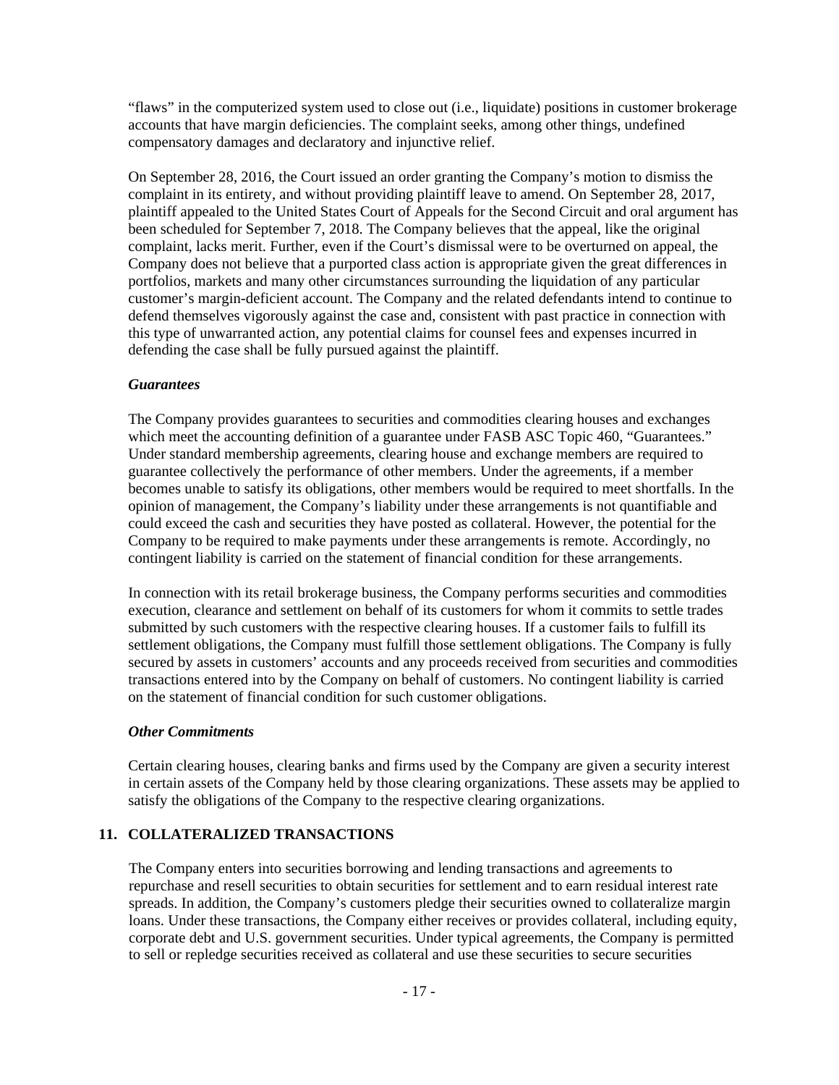"flaws" in the computerized system used to close out (i.e., liquidate) positions in customer brokerage accounts that have margin deficiencies. The complaint seeks, among other things, undefined compensatory damages and declaratory and injunctive relief.

On September 28, 2016, the Court issued an order granting the Company's motion to dismiss the complaint in its entirety, and without providing plaintiff leave to amend. On September 28, 2017, plaintiff appealed to the United States Court of Appeals for the Second Circuit and oral argument has been scheduled for September 7, 2018. The Company believes that the appeal, like the original complaint, lacks merit. Further, even if the Court's dismissal were to be overturned on appeal, the Company does not believe that a purported class action is appropriate given the great differences in portfolios, markets and many other circumstances surrounding the liquidation of any particular customer's margin-deficient account. The Company and the related defendants intend to continue to defend themselves vigorously against the case and, consistent with past practice in connection with this type of unwarranted action, any potential claims for counsel fees and expenses incurred in defending the case shall be fully pursued against the plaintiff.

#### *Guarantees*

The Company provides guarantees to securities and commodities clearing houses and exchanges which meet the accounting definition of a guarantee under FASB ASC Topic 460, "Guarantees." Under standard membership agreements, clearing house and exchange members are required to guarantee collectively the performance of other members. Under the agreements, if a member becomes unable to satisfy its obligations, other members would be required to meet shortfalls. In the opinion of management, the Company's liability under these arrangements is not quantifiable and could exceed the cash and securities they have posted as collateral. However, the potential for the Company to be required to make payments under these arrangements is remote. Accordingly, no contingent liability is carried on the statement of financial condition for these arrangements.

In connection with its retail brokerage business, the Company performs securities and commodities execution, clearance and settlement on behalf of its customers for whom it commits to settle trades submitted by such customers with the respective clearing houses. If a customer fails to fulfill its settlement obligations, the Company must fulfill those settlement obligations. The Company is fully secured by assets in customers' accounts and any proceeds received from securities and commodities transactions entered into by the Company on behalf of customers. No contingent liability is carried on the statement of financial condition for such customer obligations.

#### *Other Commitments*

Certain clearing houses, clearing banks and firms used by the Company are given a security interest in certain assets of the Company held by those clearing organizations. These assets may be applied to satisfy the obligations of the Company to the respective clearing organizations.

# **11. COLLATERALIZED TRANSACTIONS**

The Company enters into securities borrowing and lending transactions and agreements to repurchase and resell securities to obtain securities for settlement and to earn residual interest rate spreads. In addition, the Company's customers pledge their securities owned to collateralize margin loans. Under these transactions, the Company either receives or provides collateral, including equity, corporate debt and U.S. government securities. Under typical agreements, the Company is permitted to sell or repledge securities received as collateral and use these securities to secure securities